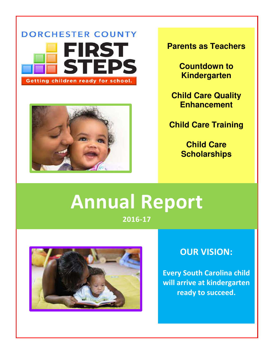



**Parents as Teachers**

**Countdown to Kindergarten**

**Child Care Quality Enhancement**

**Child Care Training**

**Child Care Scholarships**

# **Annual Report**

**2016-17**



# **OUR VISION:**

**Every South Carolina child will arrive at kindergarten ready to succeed.**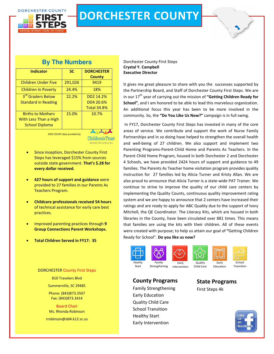

# **DORCHESTER COUNTY**

# **By The Numbers**

| <b>Indicator</b>                                                           | <b>SC</b> | <b>DORCHESTER</b>                            |
|----------------------------------------------------------------------------|-----------|----------------------------------------------|
|                                                                            |           | <b>County</b>                                |
| <b>Children Under Five</b>                                                 | 291,026   | 9419                                         |
| <b>Children In Poverty</b>                                                 | 24.4%     | 18%                                          |
| 3rd Graders Below<br><b>Standard in Reading</b>                            | 22.2%     | DD2 14.2%<br>DD4 20.6%<br><b>Total 34.8%</b> |
| <b>Births to Mothers</b><br>With Less Than a High<br><b>School Diploma</b> | 15.0%     | 10.7%                                        |
|                                                                            |           |                                              |

KIDS COUNT data provided by

**Children's Trust** OF SOUTH CAROLINA

- Since inception, Dorchester County First Steps has leveraged \$15% from sources outside state government. **That's \$.28 for every dollar received.**
- **427 hours of support and guidance** were provided to 27 families in our Parents As Teachers Program.
- **Childcare professionals received 54 hours** of technical assistance for early care best practices.
- Improved parenting practices through **9 Group Connections Parent Workshops.**
- **Total Children Served in FY17: 35**

### DORCHESTER County First Steps

810 Travelers Blvd Summerville, SC 29485 Phone: (843)873.3507 Fax: (843)873.3414

Board Chair Ms. Rhonda Robinson

rrobinson@dd4.k12.sc.us

Dorchester County First Steps **Crystal Y. Campbell Executive Director** 

It gives me great pleasure to share with you the successes supported by the Partnership Board, and Staff of Dorchester County First Steps. We are in our 17<sup>th</sup> year of carrying out the mission of "Getting Children Ready for **School"**, and I am honored to be able to lead this marvelous organization. An additional focus this year has been to be more involved in the community. So, the **"Do You Like Us Now?"** campaign is in full swing.

In FY17, Dorchester County First Steps has invested in many of the core areas of service. We contribute and support the work of Nurse Family Partnerships and in so doing have helped to strengthen the overall health and well-being of 27 children. We also support and implement two Parenting Programs-Parent-Child Home and Parents As Teachers. In the Parent Child Home Program, housed in both Dorchester 2 and Dorchester 4 Schools, we have provided 2424 hours of support and guidance to 49 families. The Parents As Teacher home visitation program provides quality instruction for 27 families led by Alicia Turner and Kristy Allan. We are also proud to announce that Alicia Turner is a state-wide PAT Trainer. We continue to strive to improve the quality of our child care centers by implementing the Quality Counts, continuous quality improvement rating system and we are happy to announce that 2 centers have increased their ratings and are ready to apply for ABC Quality due to the support of Ivory Mitchell, the QE Coordinator. The Literacy Kits, which are housed in both libraries in the County, have been circulated over 881 times. This means that families are using the kits with their children. All of these events were created with purpose; to help us attain our goal of **"**Getting Children Ready for School". **Do you like us now?**





**County Programs**









Strengthening Intervention

Child Care Early Education

# **State Programs** First Steps 4k



Family Strengthening

Early Education Quality Child Care School Transition Healthy Start Early Intervention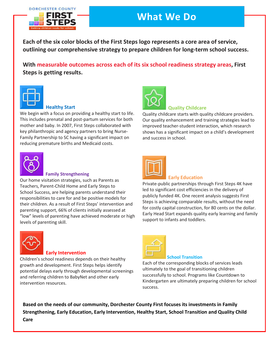### **DORCHESTER COUNTY**



# **What We Do**

**Each of the six color blocks of the First Steps logo represents a core area of service, outlining our comprehensive strategy to prepare children for long-term school success.** 

**With measurable outcomes across each of its six school readiness strategy areas, First Steps is getting results.**



### **Healthy Start**

We begin with a focus on providing a healthy start to life. This includes prenatal and post-partum services for both mother and baby. In 2007, First Steps collaborated with key philanthropic and agency partners to bring Nurse-Family Partnership to SC having a significant impact on reducing premature births and Medicaid costs.



### **Family Strengthening**

Our home visitation strategies, such as Parents as Teachers, Parent-Child Home and Early Steps to School Success, are helping parents understand their responsibilities to care for and be positive models for their children. As a result of First Steps' intervention and parenting support, 66% of clients initially assessed at "low" levels of parenting have achieved moderate or high levels of parenting skill.



### **Early Intervention**

.<br>and referring children to BabyNet and other early and verening enneron to babytication bank on a line.<br>intervention resources. participation First Steps 4K providers, visit Steps 4K providers, visit  $\mathcal{L}$ Children's school readiness depends on their healthy growth and development. First Steps helps identify potential delays early through developmental screenings



### **Quality Childcare**

Quality childcare starts with quality childcare providers. Our quality enhancement and training strategies lead to improved teacher-student interaction, which research shows has a significant impact on a child's development and success in school.



### **Early Education**

Private-public partnerships through First Steps 4K have led to significant cost efficiencies in the delivery of publicly funded 4K. One recent analysis suggests First Steps is achieving comparable results, without the need for costly capital construction, for 80 cents on the dollar. Early Head Start expands quality early learning and family support to infants and toddlers.



### **School Transition**

Each of the corresponding blocks of services leads ultimately to the goal of transitioning children successfully to school. Programs like Countdown to Kindergarten are ultimately preparing children for school success.

**Based on the needs of our community, Dorchester County First focuses its investments in Family Strengthening, Early Education, Early Intervention, Healthy Start, School Transition and Quality Child Care**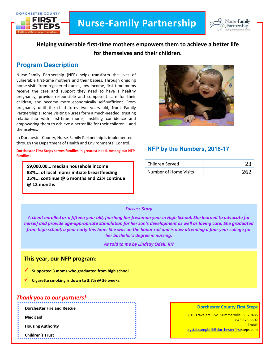



# **Helping vulnerable first-time mothers empowers them to achieve a better life for themselves and their children.**

# **Program Description**

Nurse-Family Partnership (NFP) helps transform the lives of vulnerable first-time mothers and their babies. Through ongoing home visits from registered nurses, low-income, first-time moms receive the care and support they need to have a healthy pregnancy, provide responsible and competent care for their children, and become more economically self-sufficient. From pregnancy until the child turns two years old, Nurse-Family Partnership's Home Visiting Nurses form a much-needed, trusting relationship with first-time moms, instilling confidence and empowering them to achieve a better life for their children – and themselves.

In Dorchester County, Nurse-Family Partnership is implemented through the Department of Health and Environmental Control.

**Dorchester First Steps serves families in greatest need. Among our NFP families:**

**\$9,000.00… median househole income 88%... of local moms initiate breastfeeding 25%... continue @ 6 months and 22% continue @ 12 months**



### **NFP by the Numbers, 2016-17**

| Children Served       |  |
|-----------------------|--|
| Number of Home Visits |  |

### *Success Story*

*A client enrolled as a fifteen year old, finishing her freshman year in High School. She learned to advocate for herself and provide age-appropriate stimulation for her son's development as well as loving care. She graduated from high school, a year early this June. She was on the honor roll and is now attending a four year college for her bachelor's degree in nursing.* 

*As told to me by Lindsay Odell, RN*

### **This year, our NFP program:**

**Supported 3 moms who graduated from high school.** 

**Cigarette smoking is down to 3.7% @ 36 weeks.**

### *Thank you to our partners!*

**Dorchester Fire and Rescue**

**Medicaid**

**Housing Authority**

**Children's Trust**

#### **Dorchester County First Steps**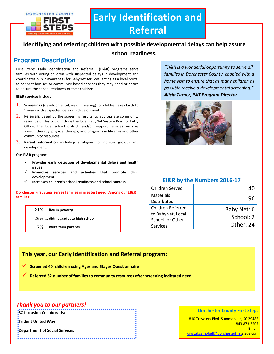

# **Early Identification and Referral**

### **Identifying and referring children with possible developmental delays can help assure**

### **school readiness.**

# **Program Description**

First Steps' Early Identification and Referral (EI&R) programs serve families with young children with suspected delays in development and coordinates public awareness for BabyNet services, acting as a local portal to connect families to community-based services they may need or desire to ensure the school readiness of their children

#### **EI&R services include:**

- 1. **Screenings** (developmental, vision, hearing) for children ages birth to 5 years with suspected delays in development
- 2. **Referrals**, based up the screening results, to appropriate community resources. This could include the local BabyNet System Point of Entry Office, the local school district, and/or support services such as speech therapy, physical therapy, and programs in libraries and other community resources.
- 3. **Parent information** including strategies to monitor growth and development.

Our EI&R program:

- **Provides early detection of developmental delays and health issues**
- **Promotes services and activities that promote child development**
- **Increases children's school readiness and school success**

**Dorchester First Steps serves families in greatest need. Among our EI&R families:**

21% **… live in poverty**

26% **… didn't graduate high school**

7% **… were teen parents**

*"EI&R is a wonderful opportunity to serve all families in Dorchester County, coupled with a home visit to ensure that as many children as possible receive a developmental screening." Alicia Turner, PAT Program Director*



### **EI&R by the Numbers 2016-17**

| Children Served                                                               |                                       |
|-------------------------------------------------------------------------------|---------------------------------------|
| Materials<br>Distributed                                                      | 96                                    |
| <b>Children Referred</b><br>to BabyNet, Local<br>School, or Other<br>Services | Baby Net: 6<br>School: 2<br>Other: 24 |

# **This year, our Early Identification and Referral program:**

**Screened 40 children using Ages and Stages Questionnaire**

**Referred 32 number of families to community resources after screening indicated need**

### *Thank you to our partners!*

**SC Inclusion Collaborative**

**Trident United Way**

**Department of Social Services**

#### **Dorchester County First Steps**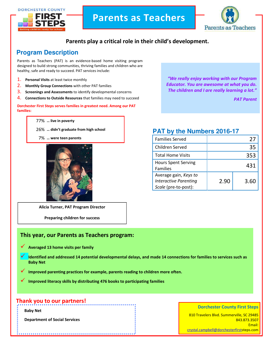DORCHESTER COUNTY





# **Parents play a critical role in their child's development.**

# **Program Description**

Parents as Teachers (PAT) is an evidence-based home visiting program designed to build strong communities, thriving families and children who are healthy, safe and ready to succeed. PAT services include:

- 1. **Personal Visits** at least twice monthly
- 2. **Monthly Group Connections** with other PAT families
- 3. **Screenings and Assessments** to identify developmental concerns
- 4. **Connections to Outside Resources** that families may need to succeed

#### **Dorchester First Steps serves families in greatest need. Among our PAT families:**

77% **… live in poverty** 

- 26% **… didn't graduate from high school**
- 7% **… were teen parents**



**Alicia Turner, PAT Program Director**

**Preparing children for success**

### **This year, our Parents as Teachers program:**

- **Averaged 13 home visits per family**
- **Identified and addressed 14 potential developmental delays, and made 14 connections for families to services such as Baby Net**
- **Improved parenting practices for example, parents reading to children more often.**
- **Improved literacy skills by distributing 476 books to participating families**

# **Thank you to our partners!**

**Baby Net**

**Department of Social Services**

*"We really enjoy working with our Program Educator. You are awesome at what you do. The children and I are really learning a lot."* 

*PAT Parent*

# **PAT by the Numbers 2016-17**

| <b>Families Served</b>                                                        |      | 27   |
|-------------------------------------------------------------------------------|------|------|
| Children Served                                                               |      | 35   |
| <b>Total Home Visits</b>                                                      |      | 353  |
| <b>Hours Spent Serving</b><br><b>Families</b>                                 |      | 431  |
| Average gain, Keys to<br><b>Interactive Parenting</b><br>Scale (pre-to-post): | 2.90 | 3.60 |

810 Travelers Blvd. Summerville, SC 29485 843.873.3507 Email: [crystal.campbell@dorchesterfirsts](mailto:crystal.campbell@dorchesterfirst)teps.com

**Dorchester County First Steps**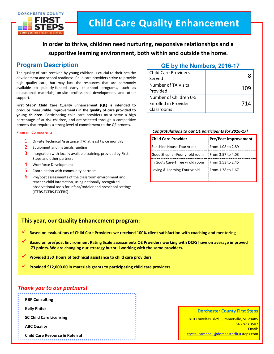

**In order to thrive, children need nurturing, responsive relationships and a supportive learning environment, both within and outside the home.**

# **Program Description**

The quality of care received by young children is crucial to their healthy development and school readiness. Child care providers strive to provide high quality care, but may lack the resources that are commonly available to publicly-funded early childhood programs, such as educational materials, on-site professional development, and other support.

**First Steps' Child Care Quality Enhancement (QE) is intended to produce measurable improvements in the quality of care provided to young children.** Participating child care providers must serve a high percentage of at-risk children, and are selected through a competitive process that requires a strong level of commitment to the QE process.

#### Program Components

- 1. On-site Technical Assistance (TA) at least twice monthly
- 2. Equipment and materials funding
- **3.** Integration with locally available training, provided by First Steps and other partners
- 4. Workforce Development
- 5. Coordination with community partners
- 6. Pre/post assessments of the classroom environment and teacher-child interaction, using nationally-recognized observational tools for infant/toddler and preschool settings (ITERS,ECERS,FCCERS)

### **QE by the Numbers, 2016-17**

| <b>Child Care Providers</b><br>Served                               |     |
|---------------------------------------------------------------------|-----|
| Number of TA Visits<br>Provided                                     | 109 |
| Number of Children 0-5<br><b>Enrolled in Provider</b><br>Classrooms | 714 |

#### *Congratulations to our QE participants for 2016-17!*

| <b>Child Care Provider</b>      | <b>Pre/Post Improvement</b> |
|---------------------------------|-----------------------------|
| Sunshine House-Four yr old      | From 1.08 to 2.89           |
| Good Shepher-Four yr old room   | From 3.57 to 4.03           |
| In God's Care-Three yr old room | From 1.53 to 2.45           |
| Loving & Learning-Four yr old   | From 1.38 to 1.67           |
|                                 |                             |

### **This year, our Quality Enhancement program:**

**Based on evaluations of Child Care Providers we received 100% client satisfaction with coaching and mentoring**

 **Based on pre/post Environment Rating Scale assessments QE Providers working with DCFS have on average improved .73 points. We are changing our strategy but still working with the same providers.** 

**Provided 350 hours of technical assistance to child care providers** 

**Provided \$12,000.00 in materials grants to participating child care providers** 

### *Thank you to our partners!*

**RBP Consulting Kelly Phifer SC Child Care Licensing ABC Quality Child Care Resource & Referral**

#### **Dorchester County First Steps**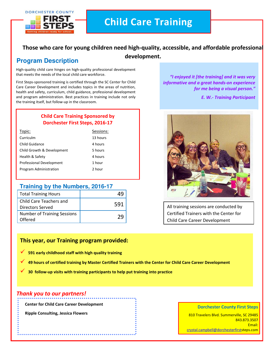

# **Child Care Training**

# **Those who care for young children need high-quality, accessible, and affordable professional**

# **development. Program Description**

High-quality child care hinges on high-quality professional development that meets the needs of the local child care workforce.

First Steps-sponsored training is certified through the SC Center for Child Care Career Development and includes topics in the areas of nutrition, health and safety, curriculum, child guidance, professional development and program administration. Best practices in training include not only the training itself, but follow-up in the classroom.

### **Child Care Training Sponsored by Dorchester First Steps, 2016-17**

| Topic:                          | Sessions: |
|---------------------------------|-----------|
| Curriculm                       | 13 hours  |
| Child Guidance                  | 4 hours   |
| Child Growth & Development      | 5 hours   |
| Health & Safety                 | 4 hours   |
| <b>Professional Development</b> | 1 hour    |
| Program Administration          | 2 hour    |

### **Training by the Numbers, 2016-17**

| <b>Total Training Hours</b>                   |     |
|-----------------------------------------------|-----|
| Child Care Teachers and<br>Directors Served   | 591 |
| <b>Number of Training Sessions</b><br>Offered |     |

*"I enjoyed it [the training] and it was very informative and a great hands-on experience for me being a visual person."*

*E. W.- Training Participant*



All training sessions are conducted by Certified Trainers with the Center for Child Care Career Development

### **This year, our Training program provided:**

- **591 early childhood staff with high quality training**
- **49 hours of certified training by Master Certified Trainers with the Center for Child Care Career Development**
- **30 follow-up visits with training participants to help put training into practice**

### *Thank you to our partners!*

**Center for Child Care Career Development**

**Ripple Consulting, Jessica Flowers**

#### **Dorchester County First Steps**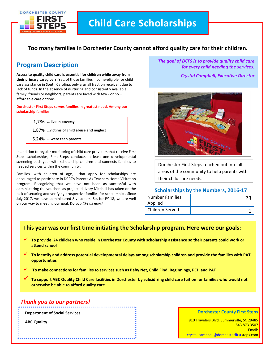

# **Child Care Scholarships**

### **Too many families in Dorchester County cannot afford quality care for their children.**

# **Program Description**

**Access to quality child care is essential for children while away from their primary caregivers.** Yet, of those families income-eligible for child care assistance in South Carolina, only a small fraction receive it due to lack of funds. In the absence of nurturing and consistently available family, friends or neighbors, parents are faced with few - or no – affordable care options.

**Dorchester First Steps serves families in greatest need. Among our scholarship families:**

1,786 **… live in poverty**

1.87% **…victims of child abuse and neglect**

5.24% **… were teen parents**

In addition to regular monitoring of child care providers that receive First Steps scholarships, First Steps conducts at least one developmental screening each year with scholarship children and connects families to needed services within the community.

Families, with children of age, that apply for scholarships are encouraged to participate in DCFS's Parents As Teachers Home Visitation program. Recognizing that we have not been as successful with administering the vouchers as projected, Ivory Mitchell has taken on the task of securing and verifying prospective families for scholarships. Since July 2017, we have administered 8 vouchers. So, for FY 18, we are well on our way to meeting our goal. *Do you like us now?*

*The goal of DCFS is to provide quality child care for every child needing the services.* 

*Crystal Campbell, Executive Director*



Dorchester First Steps reached out into all areas of the community to help parents with their child care needs.

### **Scholarships by the Numbers, 2016-17**

| <b>Number Families</b> |  |
|------------------------|--|
| Applied                |  |
| Children Served        |  |

### **This year was our first time initiating the Scholarship program. Here were our goals:**

- **To provide 24 children who reside in Dorchester County with scholarship assistance so their parents could work or attend school**
- **To identify and address potential developmental delays among scholarship children and provide the families with PAT opportunities**
- **To make connections for families to services such as Baby Net, Child Find, Beginnings, PCH and PAT**
- **To support ABC Quality Child Care facilities in Dorchester by subsidizing child care tuition for families who would not otherwise be able to afford quality care**

### *Thank you to our partners!*

**Department of Social Services**

**ABC Quality**

#### **Dorchester County First Steps**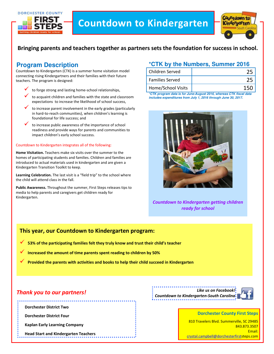

# **Countdown to Kindergarten**



## **Bringing parents and teachers together as partners sets the foundation for success in school.**

# **Program Description**

Countdown to Kindergarten (CTK) is a summer home visitation model connecting rising Kindergartners and their families with their future teachers. The program is designed:

- to forge strong and lasting home-school relationships,
- to acquaint children and families with the state and classroom expectations to increase the likelihood of school success,
- to increase parent involvement in the early grades (particularly in hard-to-reach communities), when children's learning is foundational for life success; and
- to increase public awareness of the importance of school readiness and provide ways for parents and communities to impact children's early school success.

#### Countdown to Kindergarten integrates all of the following:

**Home Visitation.** Teachers make six visits over the summer to the homes of participating students and families. Children and families are introduced to actual materials used in kindergarten and are given a Kindergarten Transition Toolkit to keep.

**Learning Celebration.** The last visit is a "field trip" to the school where the child will attend class in the fall.

**Public Awareness.** Throughout the summer, First Steps releases tips to media to help parents and caregivers get children ready for Kindergarten.

### **\*CTK by the Numbers, Summer 2016**

| Children Served        |  |
|------------------------|--|
| <b>Families Served</b> |  |
| Home/School Visits     |  |

**\*CTK program data is for June-August 2016, whereas CTK fiscal data includes expenditures from July 1, 2016 through June 30, 2017.**



*Countdown to Kindergarten getting children ready for school*

### **This year, our Countdown to Kindergarten program:**

- **53% of the participating families felt they truly know and trust their child's teacher**
- **Increased the amount of time parents spent reading to children by 50%**
- **Provided the parents with activities and books to help their child succeed in Kindergarten**

### *Thank you to our partners!*

**Dorchester District Two**

**Dorchester District Four**

**Kaplan Early Learning Company**

**Head Start and Kindergarten Teachers**

*Like us on Facebook! Countdown to Kindergarten-South Carolina*



#### **Dorchester County First Steps**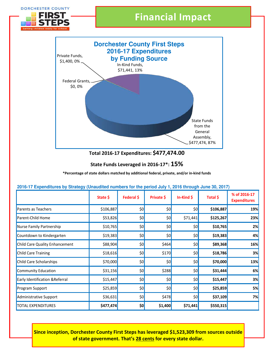

### **State Funds Leveraged in 2016-17\*: 15%**

**\*Percentage of state dollars matched by additional federal, private, and/or in-kind funds**

| <u>2010 The Aponantareo by Giraldy (Giraldance hambolo for the police cary 1) 2010 through carlo coj 2011</u> | State \$  | Federal \$ | Private \$       | In-Kind $\oint$  | Total \$  | % of 2016-17<br><b>Expenditures</b> |
|---------------------------------------------------------------------------------------------------------------|-----------|------------|------------------|------------------|-----------|-------------------------------------|
| Parents as Teachers                                                                                           | \$106,887 | \$0        | \$0              | \$0]             | \$106,887 | 19%                                 |
| Parent-Child Home                                                                                             | \$53,826  | \$0        | \$0              | \$71,441         | \$125,267 | 23%                                 |
| Nurse Family Partnership                                                                                      | \$10,765  | \$0        | \$0]             | 50               | \$10,765  | 2%                                  |
| Countdown to Kindergarten                                                                                     | \$19,383  | \$0        | \$0              | \$0 <sub>l</sub> | \$19,383  | 4%                                  |
| <b>Child Care Quality Enhancement</b>                                                                         | \$88,904  | \$0        | \$464            | \$0 <sub>l</sub> | \$89,368  | 16%                                 |
| <b>Child Care Training</b>                                                                                    | \$18,616  | \$0        | \$170            | \$0 <sub>l</sub> | \$18,786  | 3%                                  |
| <b>Child Care Scholarships</b>                                                                                | \$70,000  | \$0        | \$0              | \$0]             | \$70,000  | 13%                                 |
| <b>Community Education</b>                                                                                    | \$31,156  | \$0        | \$288            | \$0 <sub>l</sub> | \$31,444  | 6%                                  |
| <b>Early Identification &amp; Referral</b>                                                                    | \$15,447  | \$0        | \$0 <sub>l</sub> | \$0 <sub>l</sub> | \$15,447  | 3%                                  |
| <b>Program Support</b>                                                                                        | \$25,859  | \$0        | \$0              | \$0]             | \$25,859  | 5%                                  |
| Administrative Support                                                                                        | \$36,631  | \$0        | \$478            | \$0 <sub>l</sub> | \$37,109  | 7%                                  |
| <b>TOTAL EXPENDITURES</b>                                                                                     | \$477,474 | \$0        | \$1,400          | \$71,441         | \$550,315 |                                     |

### **2016-17 Expenditures by Strategy (Unaudited numbers for the period July 1, 2016 through June 30, 2017)**

**Since inception, Dorchester County First Steps has leveraged \$1,523,309 from sources outside of state government. That's 28 cents for every state dollar.**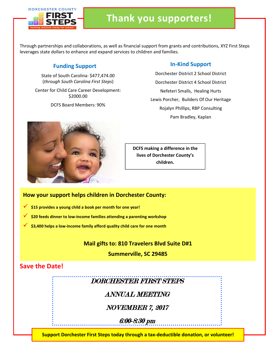

Through partnerships and collaborations, as well as financial support from grants and contributions, XYZ First Steps leverages state dollars to enhance and expand services to children and families.

# **Funding Support**

State of South Carolina: \$477,474.00 (*through South Carolina First Steps*)

Center for Child Care Career Development: \$2000.00

DCFS Board Members: 90%

### **In-Kind Support**

Dorchester District 2 School District Dorchester District 4 School District Nefeteri Smalls, Healing Hurts Lewis Porcher, Builders Of Our Heritage Rojalyn Phillips, RBP Consulting Pam Bradley, Kaplan



**DCFS making a difference in the lives of Dorchester County's children.**

### **How your support helps children in Dorchester County:**

- **\$15 provides a young child a book per month for one year!**
- **\$20 feeds dinner to low-income families attending a parenting workshop**
- **\$3,400 helps a low-income family afford quality child care for one month**

**Mail gifts to: 810 Travelers Blvd Suite D#1** 

**Summerville, SC 29485**

# **Save the Date!**

DORCHESTER FIRST STEPS

ANNUAL MEETING

NOVEMBER 7, 2017

6:00-8:30 pm

**Support Dorchester First Steps today through a tax-deductible donation, or volunteer!**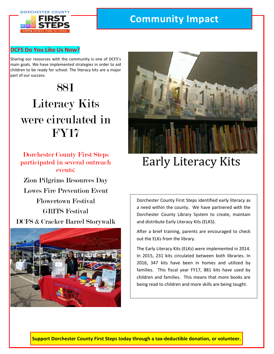

# **Community Impact**

### **DCFS Do You Like Us Now?**

Sharing our resources with the community is one of DCFS's main goals. We have implemented strategies in order to aid children to be ready for school. The literacy kits are a major part of our success.

# 881 Literacy Kits were circulated in FY17

Dorchester County First Steps participated in several outreach events:

Zion Pilgrims Resources Day Lowes Fire Prevention Event Flowertown Festival GRITS Festival DCFS & Cracker Barrel Storywalk





# Early Literacy Kits

Dorchester County First Steps identified early literacy as a need within the county. We have partnered with the Dorchester County Library System to create, maintain and distribute Early Literacy Kits (ELKS).

After a brief training, parents are encouraged to check out the ELKs from the library.

The Early Literacy Kits (ELKs) were implemented in 2014. In 2015, 231 kits circulated between both libraries. In 2016, 347 kits have been in homes and utilized by families. This fiscal year FY17, 881 kits have used by children and families. This means that more books are being read to children and more skills are being taught.

**Support Dorchester County First Steps today through a tax-deductible donation, or volunteer.**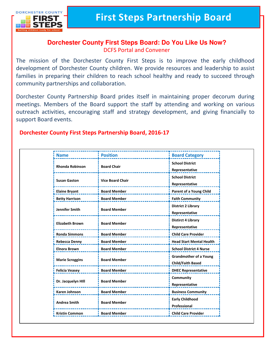

I

# **Dorchester County First Steps Board: Do You Like Us Now?** DCFS Portal and Convener

The mission of the Dorchester County First Steps is to improve the early childhood development of Dorchester County children. We provide resources and leadership to assist families in preparing their children to reach school healthy and ready to succeed through community partnerships and collaboration.

Dorchester County Partnership Board prides itself in maintaining proper decorum during meetings. Members of the Board support the staff by attending and working on various outreach activities, encouraging staff and strategy development, and giving financially to support Board events.

# **Dorchester County First Steps Partnership Board, 2016-17**

| <b>Name</b>            | <b>Position</b>         | <b>Board Category</b>                                     |
|------------------------|-------------------------|-----------------------------------------------------------|
| <b>Rhonda Robinson</b> | <b>Board Chair</b>      | <b>School District</b><br>Representative                  |
| <b>Susan Gaston</b>    | <b>Vice Board Chair</b> | <b>School District</b><br>Representative                  |
| <b>Elaine Bryant</b>   | <b>Board Member</b>     | <b>Parent of a Young Child</b>                            |
| <b>Betty Harrison</b>  | <b>Board Member</b>     | <b>Faith Community</b>                                    |
| Jennifer Smith         | <b>Board Member</b>     | <b>District 2 Library</b><br>Representative               |
| <b>Elizabeth Brown</b> | <b>Board Member</b>     | <b>Distirct 4 Library</b><br>Representative               |
| <b>Ronda Simmons</b>   | <b>Board Member</b>     | <b>Child Care Provider</b>                                |
| Rebecca Denny          | <b>Board Member</b>     | <b>Head Start Mental Health</b>                           |
| <b>Elnora Brown</b>    | <b>Board Member</b>     | <b>School District 4 Nurse</b>                            |
| <b>Marie Scroggins</b> | <b>Board Member</b>     | <b>Grandmother of a Young</b><br><b>Child/Faith Based</b> |
| <b>Felicia Veasey</b>  | <b>Board Member</b>     | <b>DHEC Representative</b>                                |
| Dr. Jacquelyn HIII     | <b>Board Member</b>     | Community<br>Representative                               |
| <b>Karen Johnson</b>   | <b>Board Member</b>     | <b>Business Community</b>                                 |
| <b>Andrea Smith</b>    | <b>Board Member</b>     | <b>Early Childhood</b><br>Professional                    |
| <b>Kristin Common</b>  | <b>Board Member</b>     | <b>Child Care Provider</b>                                |